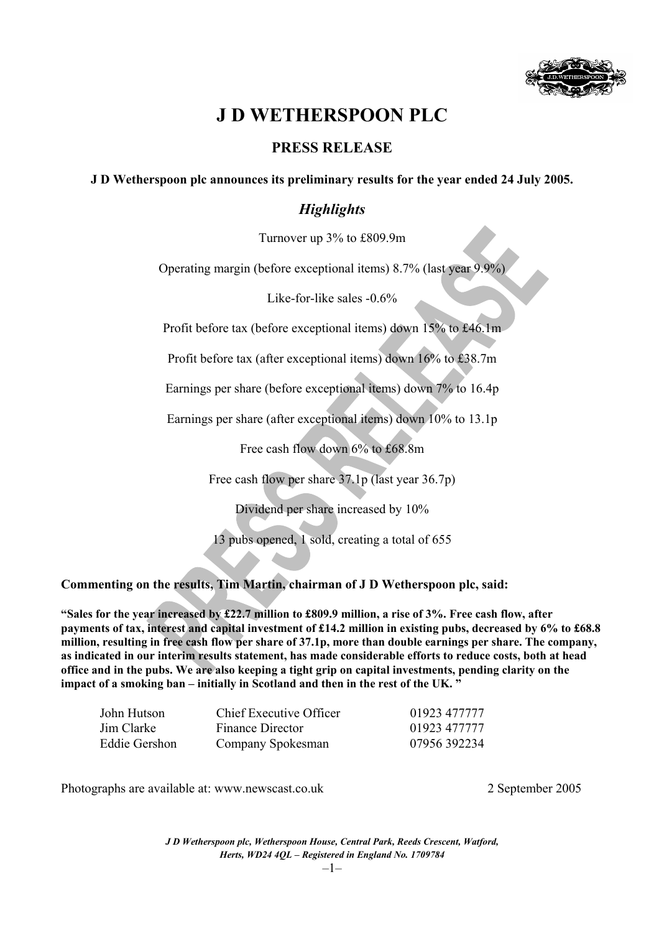

# **J D WETHERSPOON PLC**

### **PRESS RELEASE**

**J D Wetherspoon plc announces its preliminary results for the year ended 24 July 2005.**

### *Highlights*

Turnover up 3% to £809.9m

Operating margin (before exceptional items) 8.7% (last year 9.9%)

Like-for-like sales -0.6%

Profit before tax (before exceptional items) down 15% to £46.1m

Profit before tax (after exceptional items) down 16% to £38.7m

Earnings per share (before exceptional items) down 7% to 16.4p

Earnings per share (after exceptional items) down 10% to 13.1p

Free cash flow down 6% to £68.8m

Free cash flow per share 37.1p (last year 36.7p)

Dividend per share increased by 10%

13 pubs opened, 1 sold, creating a total of 655

**Commenting on the results, Tim Martin, chairman of J D Wetherspoon plc, said:** 

**"Sales for the year increased by £22.7 million to £809.9 million, a rise of 3%. Free cash flow, after payments of tax, interest and capital investment of £14.2 million in existing pubs, decreased by 6% to £68.8 million, resulting in free cash flow per share of 37.1p, more than double earnings per share. The company, as indicated in our interim results statement, has made considerable efforts to reduce costs, both at head office and in the pubs. We are also keeping a tight grip on capital investments, pending clarity on the impact of a smoking ban – initially in Scotland and then in the rest of the UK. "** 

| John Hutson   | Chief Executive Officer | 01923 477777 |
|---------------|-------------------------|--------------|
| Jim Clarke    | Finance Director        | 01923 477777 |
| Eddie Gershon | Company Spokesman       | 07956 392234 |

Photographs are available at: www.newscast.co.uk 2 September 2005

*J D Wetherspoon plc, Wetherspoon House, Central Park, Reeds Crescent, Watford, Herts, WD24 4QL – Registered in England No. 1709784*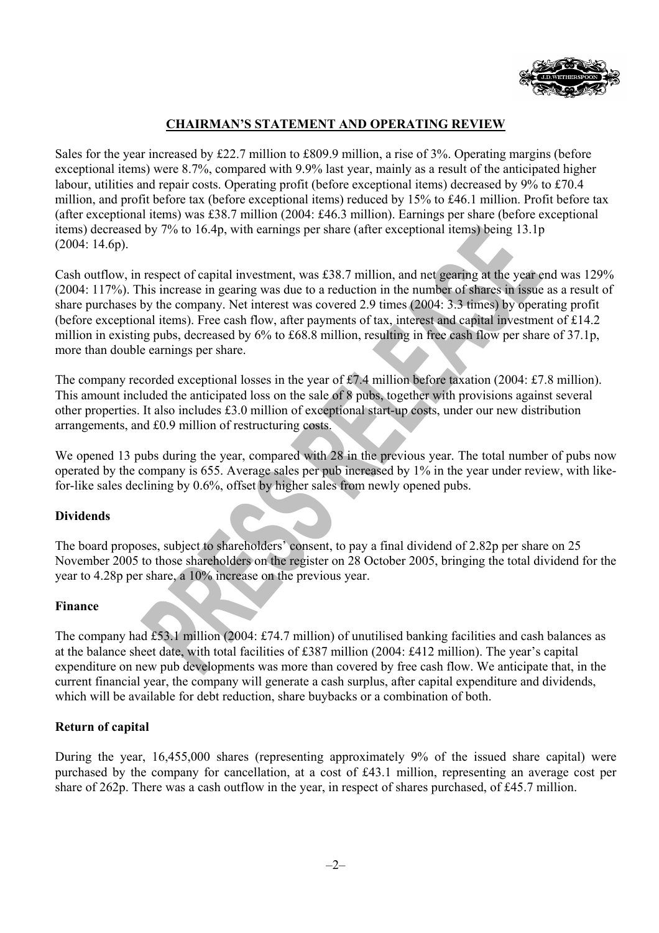

### **CHAIRMAN'S STATEMENT AND OPERATING REVIEW**

Sales for the year increased by £22.7 million to £809.9 million, a rise of 3%. Operating margins (before exceptional items) were 8.7%, compared with 9.9% last year, mainly as a result of the anticipated higher labour, utilities and repair costs. Operating profit (before exceptional items) decreased by 9% to £70.4 million, and profit before tax (before exceptional items) reduced by 15% to £46.1 million. Profit before tax (after exceptional items) was £38.7 million (2004: £46.3 million). Earnings per share (before exceptional items) decreased by 7% to 16.4p, with earnings per share (after exceptional items) being 13.1p (2004: 14.6p).

Cash outflow, in respect of capital investment, was £38.7 million, and net gearing at the year end was 129% (2004: 117%). This increase in gearing was due to a reduction in the number of shares in issue as a result of share purchases by the company. Net interest was covered 2.9 times (2004: 3.3 times) by operating profit (before exceptional items). Free cash flow, after payments of tax, interest and capital investment of £14.2 million in existing pubs, decreased by 6% to £68.8 million, resulting in free cash flow per share of 37.1p, more than double earnings per share.

The company recorded exceptional losses in the year of £7.4 million before taxation (2004: £7.8 million). This amount included the anticipated loss on the sale of 8 pubs, together with provisions against several other properties. It also includes £3.0 million of exceptional start-up costs, under our new distribution arrangements, and £0.9 million of restructuring costs.

We opened 13 pubs during the year, compared with 28 in the previous year. The total number of pubs now operated by the company is 655. Average sales per pub increased by 1% in the year under review, with likefor-like sales declining by 0.6%, offset by higher sales from newly opened pubs.

### **Dividends**

The board proposes, subject to shareholders' consent, to pay a final dividend of 2.82p per share on 25 November 2005 to those shareholders on the register on 28 October 2005, bringing the total dividend for the year to 4.28p per share, a 10% increase on the previous year.

#### **Finance**

The company had £53.1 million (2004: £74.7 million) of unutilised banking facilities and cash balances as at the balance sheet date, with total facilities of £387 million (2004: £412 million). The year's capital expenditure on new pub developments was more than covered by free cash flow. We anticipate that, in the current financial year, the company will generate a cash surplus, after capital expenditure and dividends, which will be available for debt reduction, share buybacks or a combination of both.

### **Return of capital**

During the year, 16,455,000 shares (representing approximately 9% of the issued share capital) were purchased by the company for cancellation, at a cost of £43.1 million, representing an average cost per share of 262p. There was a cash outflow in the year, in respect of shares purchased, of £45.7 million.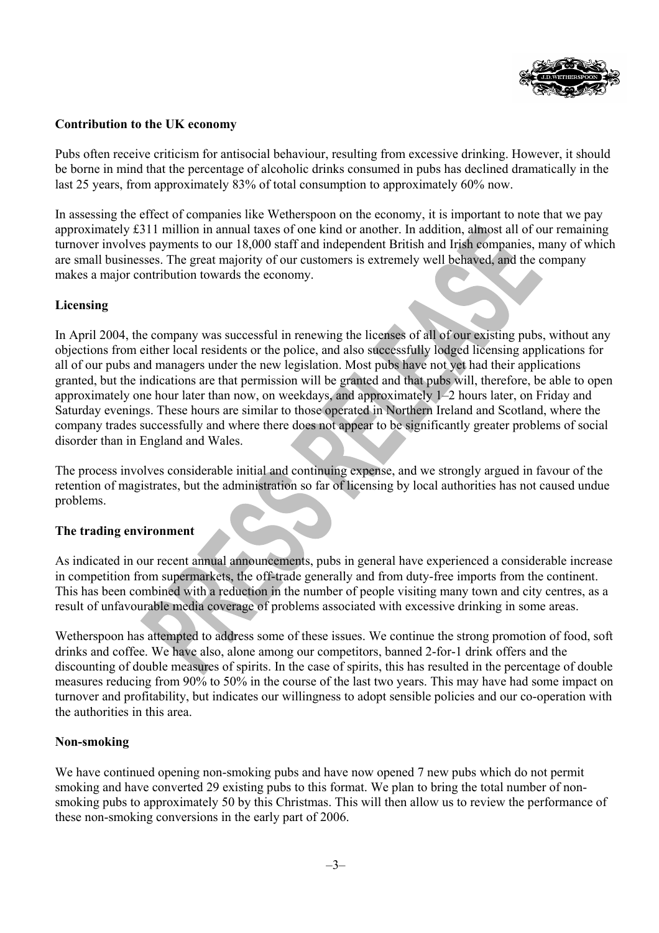

### **Contribution to the UK economy**

Pubs often receive criticism for antisocial behaviour, resulting from excessive drinking. However, it should be borne in mind that the percentage of alcoholic drinks consumed in pubs has declined dramatically in the last 25 years, from approximately 83% of total consumption to approximately 60% now.

In assessing the effect of companies like Wetherspoon on the economy, it is important to note that we pay approximately £311 million in annual taxes of one kind or another. In addition, almost all of our remaining turnover involves payments to our 18,000 staff and independent British and Irish companies, many of which are small businesses. The great majority of our customers is extremely well behaved, and the company makes a major contribution towards the economy.

### **Licensing**

In April 2004, the company was successful in renewing the licenses of all of our existing pubs, without any objections from either local residents or the police, and also successfully lodged licensing applications for all of our pubs and managers under the new legislation. Most pubs have not yet had their applications granted, but the indications are that permission will be granted and that pubs will, therefore, be able to open approximately one hour later than now, on weekdays, and approximately 1–2 hours later, on Friday and Saturday evenings. These hours are similar to those operated in Northern Ireland and Scotland, where the company trades successfully and where there does not appear to be significantly greater problems of social disorder than in England and Wales.

The process involves considerable initial and continuing expense, and we strongly argued in favour of the retention of magistrates, but the administration so far of licensing by local authorities has not caused undue problems.

### **The trading environment**

As indicated in our recent annual announcements, pubs in general have experienced a considerable increase in competition from supermarkets, the off-trade generally and from duty-free imports from the continent. This has been combined with a reduction in the number of people visiting many town and city centres, as a result of unfavourable media coverage of problems associated with excessive drinking in some areas.

Wetherspoon has attempted to address some of these issues. We continue the strong promotion of food, soft drinks and coffee. We have also, alone among our competitors, banned 2-for-1 drink offers and the discounting of double measures of spirits. In the case of spirits, this has resulted in the percentage of double measures reducing from 90% to 50% in the course of the last two years. This may have had some impact on turnover and profitability, but indicates our willingness to adopt sensible policies and our co-operation with the authorities in this area.

### **Non-smoking**

We have continued opening non-smoking pubs and have now opened 7 new pubs which do not permit smoking and have converted 29 existing pubs to this format. We plan to bring the total number of nonsmoking pubs to approximately 50 by this Christmas. This will then allow us to review the performance of these non-smoking conversions in the early part of 2006.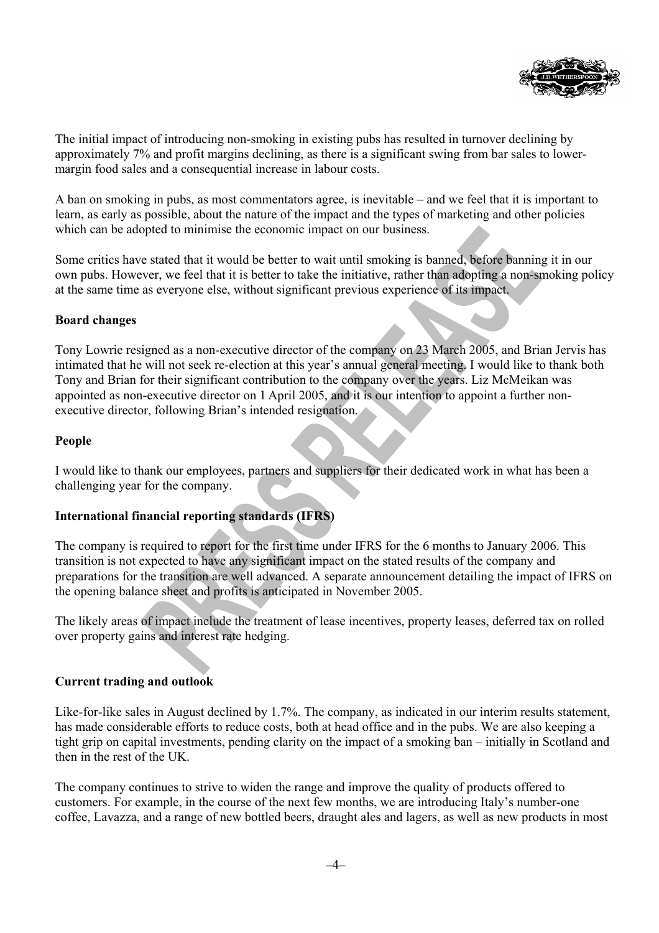

The initial impact of introducing non-smoking in existing pubs has resulted in turnover declining by approximately 7% and profit margins declining, as there is a significant swing from bar sales to lowermargin food sales and a consequential increase in labour costs.

A ban on smoking in pubs, as most commentators agree, is inevitable – and we feel that it is important to learn, as early as possible, about the nature of the impact and the types of marketing and other policies which can be adopted to minimise the economic impact on our business.

Some critics have stated that it would be better to wait until smoking is banned, before banning it in our own pubs. However, we feel that it is better to take the initiative, rather than adopting a non-smoking policy at the same time as everyone else, without significant previous experience of its impact.

### **Board changes**

Tony Lowrie resigned as a non-executive director of the company on 23 March 2005, and Brian Jervis has intimated that he will not seek re-election at this year's annual general meeting. I would like to thank both Tony and Brian for their significant contribution to the company over the years. Liz McMeikan was appointed as non-executive director on 1 April 2005, and it is our intention to appoint a further nonexecutive director, following Brian's intended resignation.

### **People**

I would like to thank our employees, partners and suppliers for their dedicated work in what has been a challenging year for the company.

### **International financial reporting standards (IFRS)**

The company is required to report for the first time under IFRS for the 6 months to January 2006. This transition is not expected to have any significant impact on the stated results of the company and preparations for the transition are well advanced. A separate announcement detailing the impact of IFRS on the opening balance sheet and profits is anticipated in November 2005.

The likely areas of impact include the treatment of lease incentives, property leases, deferred tax on rolled over property gains and interest rate hedging.

### **Current trading and outlook**

Like-for-like sales in August declined by 1.7%. The company, as indicated in our interim results statement, has made considerable efforts to reduce costs, both at head office and in the pubs. We are also keeping a tight grip on capital investments, pending clarity on the impact of a smoking ban – initially in Scotland and then in the rest of the UK.

The company continues to strive to widen the range and improve the quality of products offered to customers. For example, in the course of the next few months, we are introducing Italy's number-one coffee, Lavazza, and a range of new bottled beers, draught ales and lagers, as well as new products in most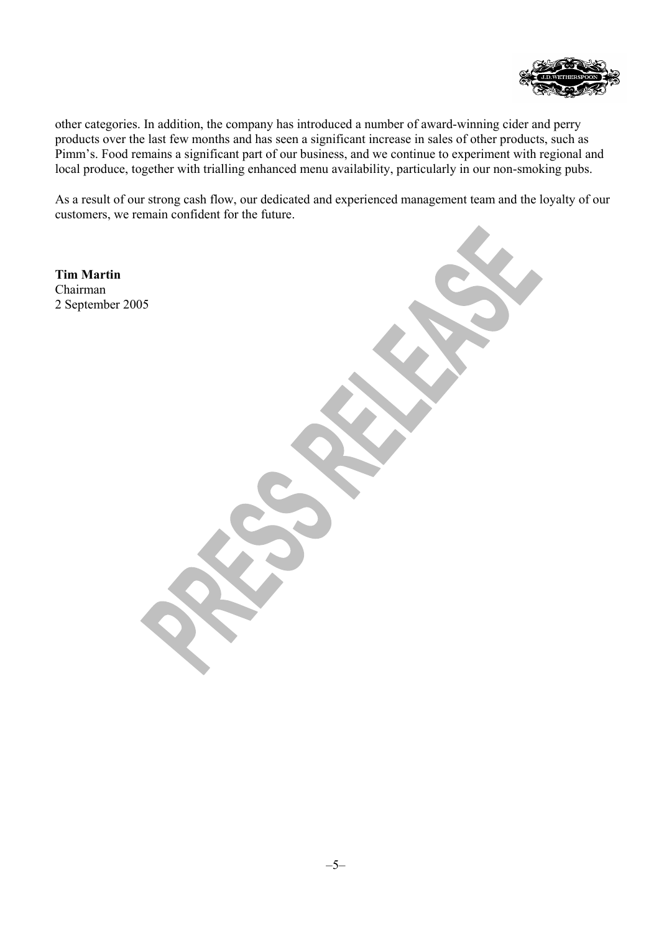

other categories. In addition, the company has introduced a number of award-winning cider and perry products over the last few months and has seen a significant increase in sales of other products, such as Pimm's. Food remains a significant part of our business, and we continue to experiment with regional and local produce, together with trialling enhanced menu availability, particularly in our non-smoking pubs.

As a result of our strong cash flow, our dedicated and experienced management team and the loyalty of our customers, we remain confident for the future.

**Tim Martin**  Chairman 2 September 2005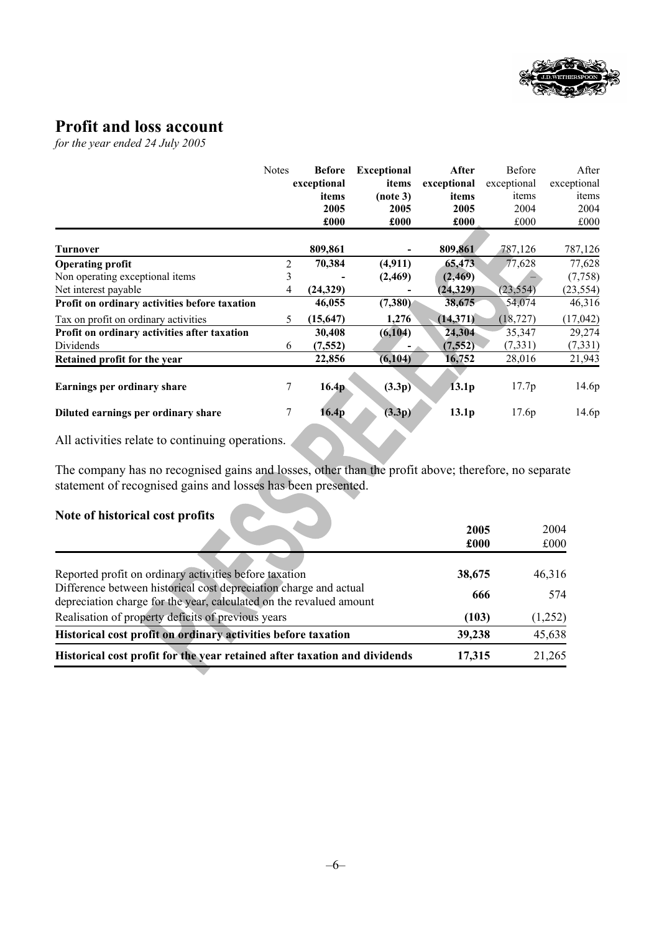

# **Profit and loss account**

*for the year ended 24 July 2005* 

|                                               | <b>Notes</b>    | <b>Before</b>     | <b>Exceptional</b> | After             | Before      | After       |
|-----------------------------------------------|-----------------|-------------------|--------------------|-------------------|-------------|-------------|
|                                               |                 | exceptional       | items              | exceptional       | exceptional | exceptional |
|                                               |                 | items             | (note 3)           | items             | items       | items       |
|                                               |                 | 2005              | 2005               | 2005              | 2004        | 2004        |
|                                               |                 | £000              | £000               | £000              | £000        | £000        |
|                                               |                 |                   |                    |                   |             |             |
| Turnover                                      |                 | 809,861           |                    | 809,861           | 787,126     | 787,126     |
| <b>Operating profit</b>                       | 2               | 70,384            | (4, 911)           | 65,473            | 77,628      | 77,628      |
| Non operating exceptional items               | 3               |                   | (2, 469)           | (2, 469)          |             | (7,758)     |
| Net interest payable                          | 4               | (24, 329)         |                    | (24, 329)         | (23, 554)   | (23, 554)   |
| Profit on ordinary activities before taxation |                 | 46,055            | (7,380)            | 38,675            | 54,074      | 46,316      |
| Tax on profit on ordinary activities          | 5               | (15, 647)         | 1,276              | (14, 371)         | (18, 727)   | (17,042)    |
| Profit on ordinary activities after taxation  |                 | 30,408            | (6, 104)           | 24,304            | 35,347      | 29,274      |
| Dividends                                     | 6               | (7, 552)          |                    | (7,552)           | (7, 331)    | (7, 331)    |
| Retained profit for the year                  |                 | 22,856            | (6, 104)           | 16,752            | 28,016      | 21,943      |
|                                               |                 |                   |                    |                   |             |             |
| Earnings per ordinary share                   | $\tau$          | 16.4 <sub>p</sub> | (3.3p)             | 13.1 <sub>p</sub> | 17.7p       | 14.6p       |
|                                               | $7\overline{ }$ |                   |                    |                   |             |             |
| Diluted earnings per ordinary share           |                 | 16.4p             | (3.3p)             | 13.1 <sub>p</sub> | 17.6p       | 14.6p       |

All activities relate to continuing operations.

The company has no recognised gains and losses, other than the profit above; therefore, no separate statement of recognised gains and losses has been presented.

### **Note of historical cost profits**

|                                                                           | 2005<br>£000 | 2004<br>£000 |
|---------------------------------------------------------------------------|--------------|--------------|
|                                                                           |              |              |
| Reported profit on ordinary activities before taxation                    | 38,675       | 46,316       |
| Difference between historical cost depreciation charge and actual         | 666          | 574          |
| depreciation charge for the year, calculated on the revalued amount       |              |              |
| Realisation of property deficits of previous years                        | (103)        | (1,252)      |
| Historical cost profit on ordinary activities before taxation             | 39,238       | 45,638       |
| Historical cost profit for the year retained after taxation and dividends | 17,315       | 21,265       |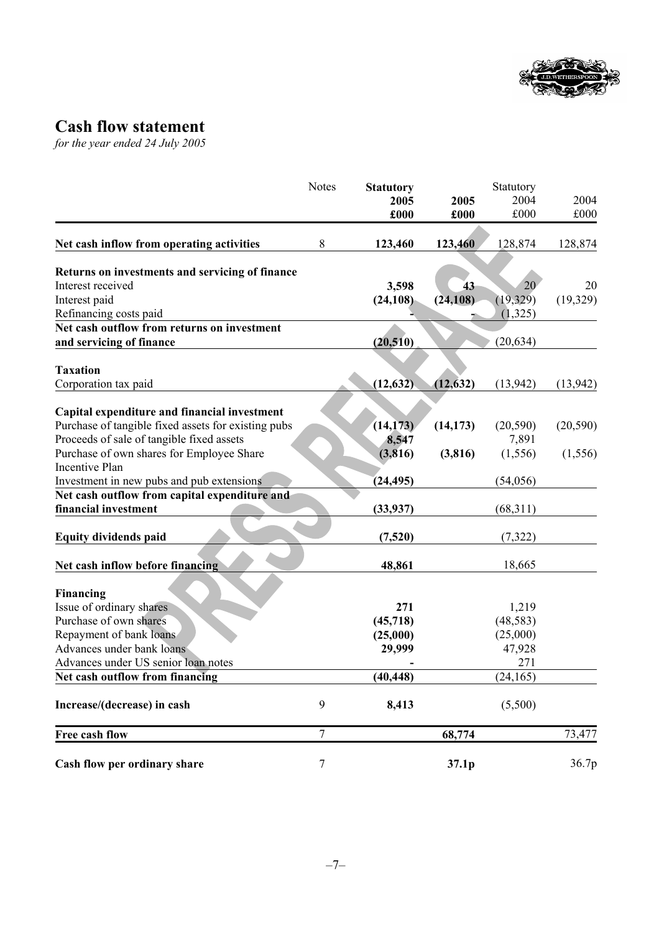

# **Cash flow statement**

*for the year ended 24 July 2005* 

|                                                                      | <b>Notes</b><br><b>Statutory</b> | Statutory |           |           |           |
|----------------------------------------------------------------------|----------------------------------|-----------|-----------|-----------|-----------|
|                                                                      |                                  | 2005      | 2005      | 2004      | 2004      |
|                                                                      |                                  | £000      | £000      | £000      | £000      |
|                                                                      |                                  |           |           |           |           |
| Net cash inflow from operating activities                            | 8                                | 123,460   | 123,460   | 128,874   | 128,874   |
|                                                                      |                                  |           |           |           |           |
| Returns on investments and servicing of finance<br>Interest received |                                  | 3,598     | 43        | 20        | 20        |
| Interest paid                                                        |                                  | (24, 108) | (24, 108) | (19, 329) | (19,329)  |
| Refinancing costs paid                                               |                                  |           |           | (1,325)   |           |
| Net cash outflow from returns on investment                          |                                  |           |           |           |           |
|                                                                      |                                  | (20, 510) |           | (20, 634) |           |
| and servicing of finance                                             |                                  |           |           |           |           |
| <b>Taxation</b>                                                      |                                  |           |           |           |           |
| Corporation tax paid                                                 |                                  | (12, 632) | (12, 632) | (13, 942) | (13, 942) |
|                                                                      |                                  |           |           |           |           |
| Capital expenditure and financial investment                         |                                  |           |           |           |           |
| Purchase of tangible fixed assets for existing pubs                  |                                  | (14, 173) | (14, 173) | (20, 590) | (20, 590) |
| Proceeds of sale of tangible fixed assets                            |                                  | 8,547     |           | 7,891     |           |
| Purchase of own shares for Employee Share                            |                                  | (3,816)   | (3, 816)  | (1, 556)  |           |
| Incentive Plan                                                       |                                  |           |           |           | (1, 556)  |
| Investment in new pubs and pub extensions                            |                                  |           |           | (54,056)  |           |
| Net cash outflow from capital expenditure and                        |                                  | (24, 495) |           |           |           |
| financial investment                                                 |                                  |           |           |           |           |
|                                                                      |                                  | (33, 937) |           | (68,311)  |           |
|                                                                      |                                  |           |           |           |           |
| <b>Equity dividends paid</b>                                         |                                  | (7,520)   |           | (7,322)   |           |
| Net cash inflow before financing                                     |                                  | 48,861    |           | 18,665    |           |
|                                                                      |                                  |           |           |           |           |
| Financing                                                            |                                  |           |           |           |           |
| Issue of ordinary shares                                             |                                  | 271       |           | 1,219     |           |
| Purchase of own shares                                               |                                  | (45, 718) |           | (48, 583) |           |
| Repayment of bank loans                                              |                                  | (25,000)  |           | (25,000)  |           |
| Advances under bank loans                                            |                                  | 29,999    |           | 47,928    |           |
| Advances under US senior loan notes                                  |                                  |           |           | 271       |           |
| Net cash outflow from financing                                      |                                  | (40, 448) |           | (24, 165) |           |
|                                                                      |                                  |           |           |           |           |
| Increase/(decrease) in cash                                          | 9                                | 8,413     |           | (5,500)   |           |
| Free cash flow                                                       | $\overline{7}$                   |           | 68,774    |           | 73,477    |
|                                                                      |                                  |           |           |           |           |
| Cash flow per ordinary share                                         | 7                                |           | 37.1p     |           | 36.7p     |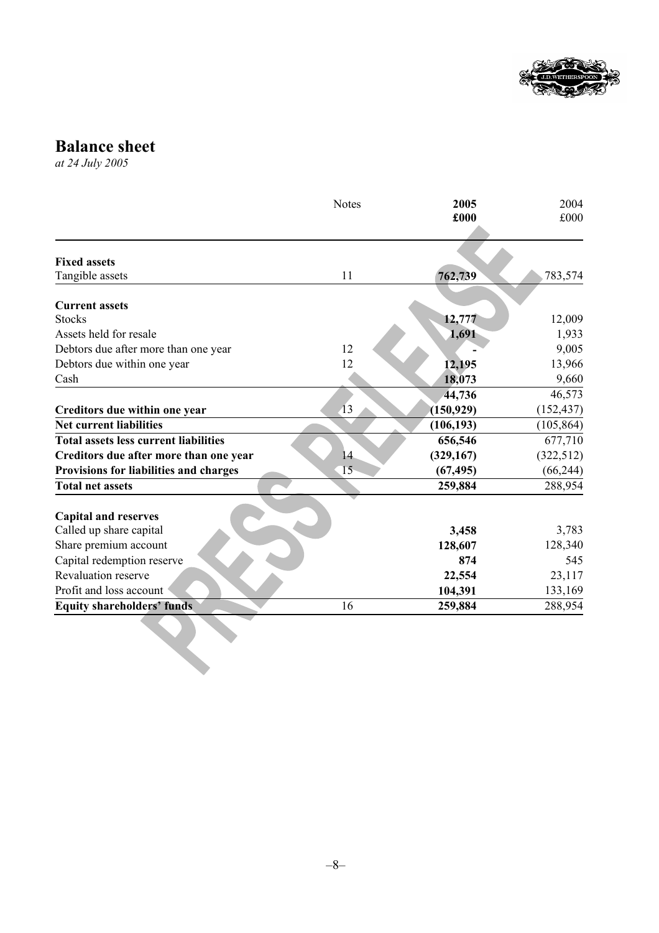

**Balance sheet**

*at 24 July 2005*

|                                              | <b>Notes</b>    | 2005<br>£000 | 2004<br>£000 |
|----------------------------------------------|-----------------|--------------|--------------|
| <b>Fixed assets</b>                          |                 |              |              |
| Tangible assets                              | 11              | 762,739      | 783,574      |
| <b>Current assets</b>                        |                 |              |              |
| <b>Stocks</b>                                |                 | 12,777       | 12,009       |
| Assets held for resale                       |                 | 1,691        | 1,933        |
| Debtors due after more than one year         | 12              |              | 9,005        |
| Debtors due within one year                  | 12              | 12,195       | 13,966       |
| Cash                                         |                 | 18,073       | 9,660        |
|                                              |                 | 44,736       | 46,573       |
| Creditors due within one year                | $\overline{13}$ | (150, 929)   | (152, 437)   |
| <b>Net current liabilities</b>               |                 | (106, 193)   | (105, 864)   |
| <b>Total assets less current liabilities</b> |                 | 656,546      | 677,710      |
| Creditors due after more than one year       | 14              | (329, 167)   | (322, 512)   |
| Provisions for liabilities and charges       | 15              | (67, 495)    | (66, 244)    |
| <b>Total net assets</b>                      |                 | 259,884      | 288,954      |
| <b>Capital and reserves</b>                  |                 |              |              |
| Called up share capital                      |                 | 3,458        | 3,783        |
| Share premium account                        |                 | 128,607      | 128,340      |
| Capital redemption reserve                   |                 | 874          | 545          |
| Revaluation reserve                          |                 | 22,554       | 23,117       |
| Profit and loss account                      |                 | 104,391      | 133,169      |
| <b>Equity shareholders' funds</b>            | 16              | 259,884      | 288,954      |
|                                              |                 |              |              |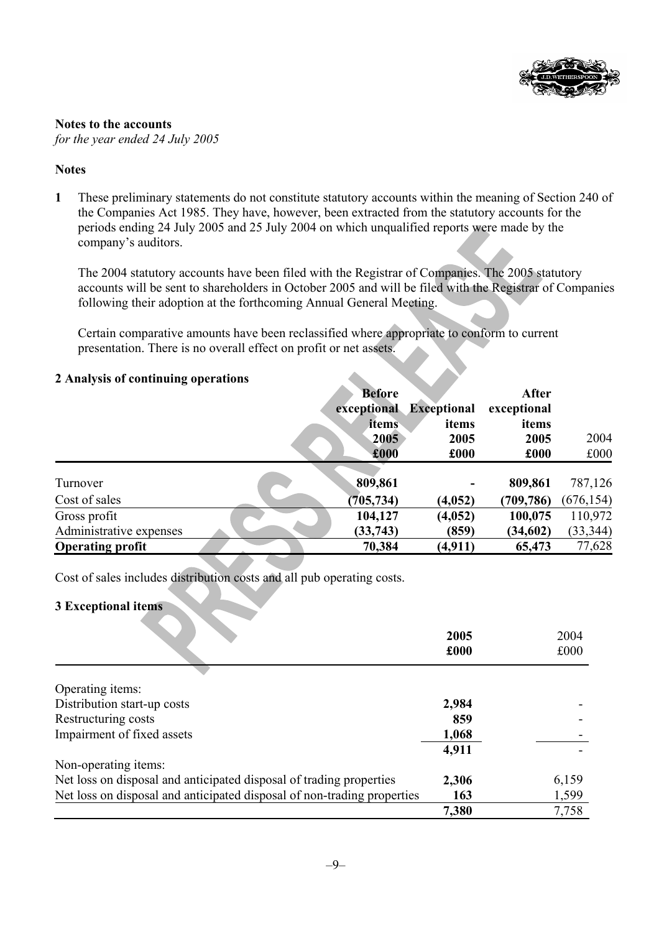

### **Notes to the accounts** *for the year ended 24 July 2005*

### **Notes**

**1** These preliminary statements do not constitute statutory accounts within the meaning of Section 240 of the Companies Act 1985. They have, however, been extracted from the statutory accounts for the periods ending 24 July 2005 and 25 July 2004 on which unqualified reports were made by the company's auditors.

The 2004 statutory accounts have been filed with the Registrar of Companies. The 2005 statutory accounts will be sent to shareholders in October 2005 and will be filed with the Registrar of Companies following their adoption at the forthcoming Annual General Meeting.

Certain comparative amounts have been reclassified where appropriate to conform to current presentation. There is no overall effect on profit or net assets.

### **2 Analysis of continuing operations**

|                         | <b>Before</b><br>exceptional<br>items<br>2005 | <b>Exceptional</b><br>items<br>2005 | After<br>exceptional<br>items<br>2005 | 2004       |
|-------------------------|-----------------------------------------------|-------------------------------------|---------------------------------------|------------|
|                         | £000                                          | £000                                | £000                                  | £000       |
| Turnover                | 809,861                                       |                                     | 809,861                               | 787,126    |
| Cost of sales           | (705, 734)                                    | (4,052)                             | (709, 786)                            | (676, 154) |
| Gross profit            | 104,127                                       | (4,052)                             | 100,075                               | 110,972    |
| Administrative expenses | (33, 743)                                     | (859)                               | (34, 602)                             | (33, 344)  |
| <b>Operating profit</b> | 70,384                                        | (4, 911)                            | 65,473                                | 77,628     |

Cost of sales includes distribution costs and all pub operating costs.

### **3 Exceptional items**

|                                                                         | 2005<br>£000 | 2004<br>£000 |
|-------------------------------------------------------------------------|--------------|--------------|
|                                                                         |              |              |
| Operating items:                                                        |              |              |
| Distribution start-up costs                                             | 2,984        |              |
| Restructuring costs                                                     | 859          |              |
| Impairment of fixed assets                                              | 1,068        |              |
|                                                                         | 4,911        |              |
| Non-operating items:                                                    |              |              |
| Net loss on disposal and anticipated disposal of trading properties     | 2,306        | 6,159        |
| Net loss on disposal and anticipated disposal of non-trading properties | 163          | 1,599        |
|                                                                         | 7,380        | 7,758        |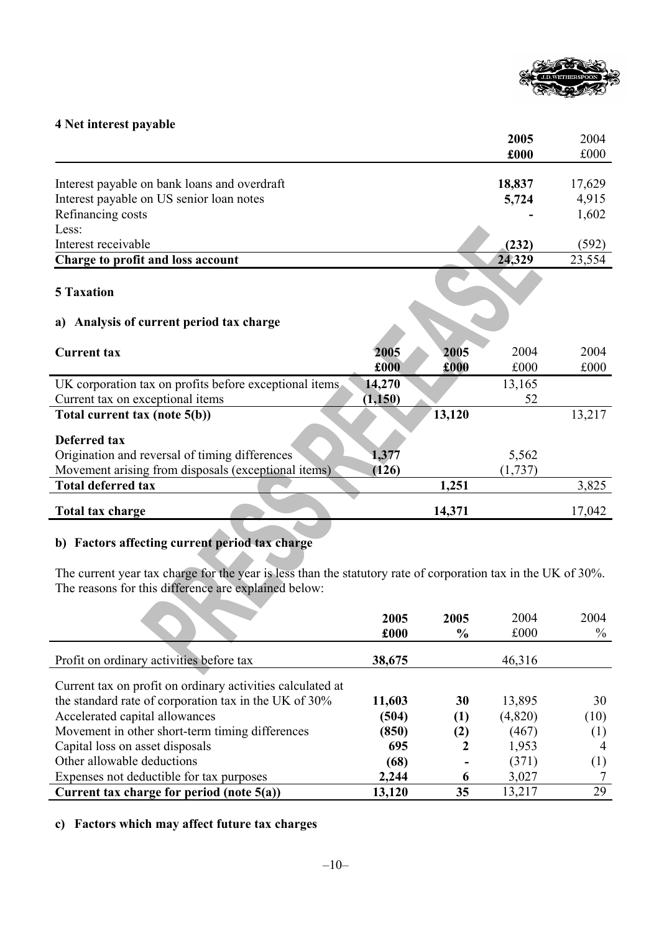

### **4 Net interest payable**

|                                                        |          |        | 2005     | 2004   |
|--------------------------------------------------------|----------|--------|----------|--------|
|                                                        |          |        | £000     | £000   |
|                                                        |          |        |          |        |
| Interest payable on bank loans and overdraft           |          |        | 18,837   | 17,629 |
| Interest payable on US senior loan notes               |          |        | 5,724    | 4,915  |
| Refinancing costs                                      |          |        |          | 1,602  |
| Less:                                                  |          |        |          |        |
| Interest receivable                                    |          |        | (232)    | (592)  |
| Charge to profit and loss account                      |          |        | 24,329   | 23,554 |
| <b>5 Taxation</b>                                      |          |        |          |        |
| Analysis of current period tax charge<br>a)            |          |        |          |        |
| <b>Current tax</b>                                     | 2005     | 2005   | 2004     | 2004   |
|                                                        | £000     | £000   | £000     | £000   |
| UK corporation tax on profits before exceptional items | 14,270   |        | 13,165   |        |
| Current tax on exceptional items                       | (1, 150) |        | 52       |        |
| Total current tax (note 5(b))                          |          | 13,120 |          | 13,217 |
| <b>Deferred tax</b>                                    |          |        |          |        |
| Origination and reversal of timing differences         | 1,377    |        | 5,562    |        |
| Movement arising from disposals (exceptional items)    | (126)    |        | (1, 737) |        |
| <b>Total deferred tax</b>                              |          | 1,251  |          | 3,825  |
| Total tax charge                                       |          | 14,371 |          | 17,042 |

### **b) Factors affecting current period tax charge**

The current year tax charge for the year is less than the statutory rate of corporation tax in the UK of 30%. The reasons for this difference are explained below:

|                                                            | 2005   | 2005          | 2004    | 2004 |
|------------------------------------------------------------|--------|---------------|---------|------|
|                                                            | £000   | $\frac{6}{6}$ | £000    | $\%$ |
| Profit on ordinary activities before tax                   | 38,675 |               | 46,316  |      |
| Current tax on profit on ordinary activities calculated at |        |               |         |      |
| the standard rate of corporation tax in the UK of 30%      | 11,603 | 30            | 13,895  | 30   |
| Accelerated capital allowances                             | (504)  | (1)           | (4,820) | (10) |
| Movement in other short-term timing differences            | (850)  | (2)           | (467)   | (1)  |
| Capital loss on asset disposals                            | 695    |               | 1,953   |      |
| Other allowable deductions                                 | (68)   |               | (371)   | (1)  |
| Expenses not deductible for tax purposes                   | 2,244  | 6             | 3,027   |      |
| Current tax charge for period (note 5(a))                  | 13,120 | 35            | 13,217  | 29   |

### **c) Factors which may affect future tax charges**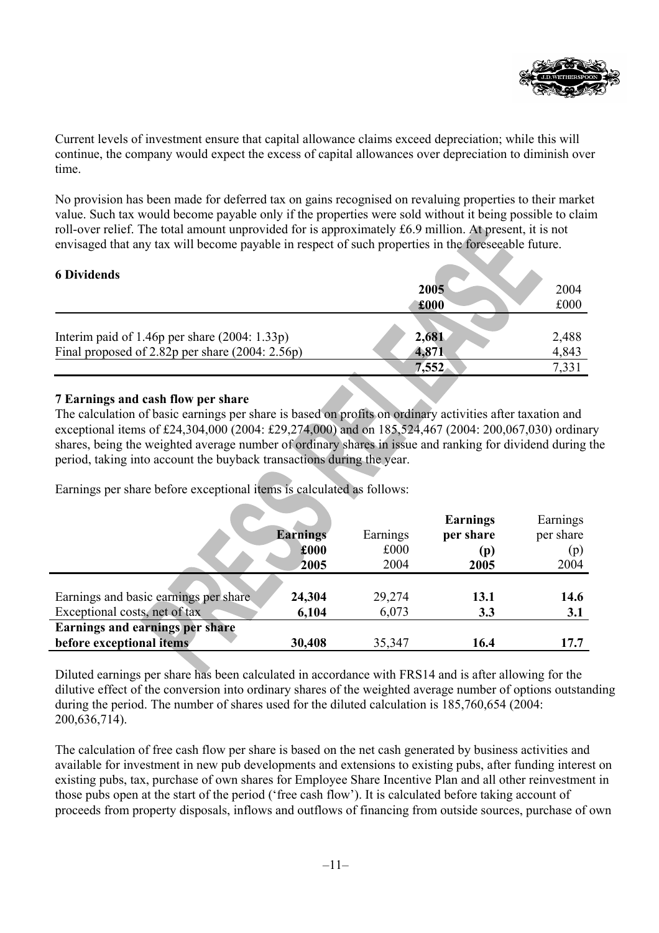

Current levels of investment ensure that capital allowance claims exceed depreciation; while this will continue, the company would expect the excess of capital allowances over depreciation to diminish over time.

No provision has been made for deferred tax on gains recognised on revaluing properties to their market value. Such tax would become payable only if the properties were sold without it being possible to claim roll-over relief. The total amount unprovided for is approximately £6.9 million. At present, it is not envisaged that any tax will become payable in respect of such properties in the foreseeable future.

### **6 Dividends**

| o Dividends                                       |       |                |
|---------------------------------------------------|-------|----------------|
|                                                   | 2005  | 2004           |
|                                                   | £000  | £000           |
|                                                   |       |                |
| Interim paid of 1.46p per share $(2004: 1.33p)$   | 2,681 | 2,488          |
| Final proposed of 2.82p per share $(2004: 2.56p)$ | 4,871 | 4,843          |
|                                                   | 7,552 | $7.33^{\circ}$ |

### **7 Earnings and cash flow per share**

The calculation of basic earnings per share is based on profits on ordinary activities after taxation and exceptional items of £24,304,000 (2004: £29,274,000) and on 185,524,467 (2004: 200,067,030) ordinary shares, being the weighted average number of ordinary shares in issue and ranking for dividend during the period, taking into account the buyback transactions during the year.

Earnings per share before exceptional items is calculated as follows:

|                                        |                 |          | <b>Earnings</b> | Earnings  |
|----------------------------------------|-----------------|----------|-----------------|-----------|
|                                        | <b>Earnings</b> | Earnings | per share       | per share |
|                                        | £000            | £000     | (p)             | (p)       |
|                                        | 2005            | 2004     | 2005            | 2004      |
|                                        |                 |          |                 |           |
| Earnings and basic earnings per share  | 24,304          | 29,274   | 13.1            | 14.6      |
| Exceptional costs, net of tax          | 6,104           | 6,073    | 3.3             | 3.1       |
| <b>Earnings and earnings per share</b> |                 |          |                 |           |
| before exceptional items               | 30,408          | 35,347   | 16.4            | 17.7      |

Diluted earnings per share has been calculated in accordance with FRS14 and is after allowing for the dilutive effect of the conversion into ordinary shares of the weighted average number of options outstanding during the period. The number of shares used for the diluted calculation is 185,760,654 (2004: 200,636,714).

The calculation of free cash flow per share is based on the net cash generated by business activities and available for investment in new pub developments and extensions to existing pubs, after funding interest on existing pubs, tax, purchase of own shares for Employee Share Incentive Plan and all other reinvestment in those pubs open at the start of the period ('free cash flow'). It is calculated before taking account of proceeds from property disposals, inflows and outflows of financing from outside sources, purchase of own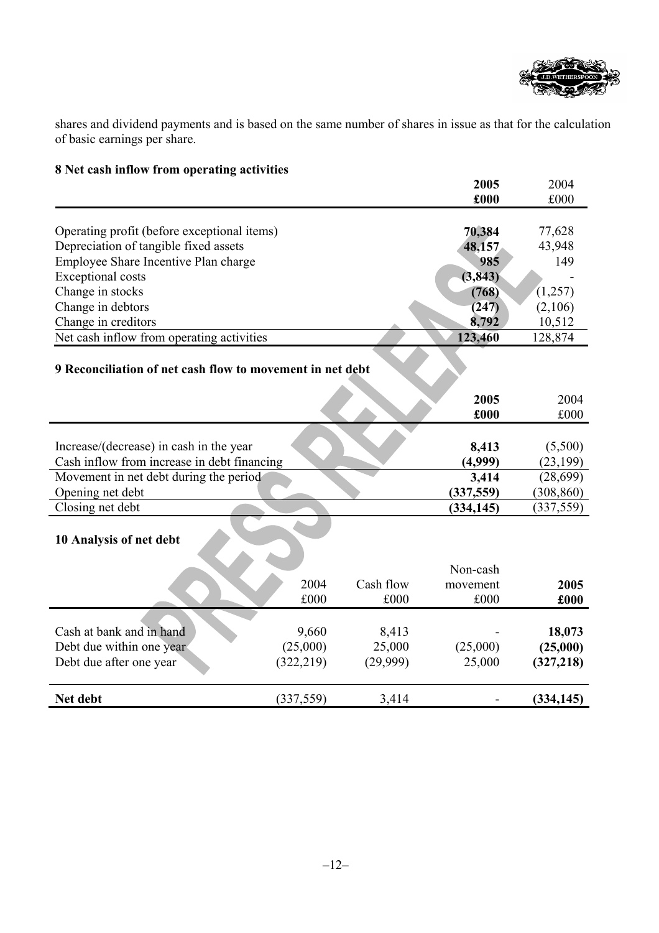

shares and dividend payments and is based on the same number of shares in issue as that for the calculation of basic earnings per share.

| o ivel cash hiliow if only operating activities |                                                                                                                                                                                   | 2005                                                      | 2004                                                                                                                                              |
|-------------------------------------------------|-----------------------------------------------------------------------------------------------------------------------------------------------------------------------------------|-----------------------------------------------------------|---------------------------------------------------------------------------------------------------------------------------------------------------|
|                                                 |                                                                                                                                                                                   | £000                                                      | £000                                                                                                                                              |
|                                                 |                                                                                                                                                                                   |                                                           |                                                                                                                                                   |
|                                                 |                                                                                                                                                                                   |                                                           | 77,628                                                                                                                                            |
|                                                 |                                                                                                                                                                                   |                                                           | 43,948                                                                                                                                            |
|                                                 |                                                                                                                                                                                   |                                                           | 149                                                                                                                                               |
|                                                 |                                                                                                                                                                                   |                                                           |                                                                                                                                                   |
|                                                 |                                                                                                                                                                                   |                                                           | (1,257)                                                                                                                                           |
|                                                 |                                                                                                                                                                                   |                                                           | (2,106)                                                                                                                                           |
|                                                 |                                                                                                                                                                                   |                                                           | 10,512                                                                                                                                            |
|                                                 |                                                                                                                                                                                   |                                                           | 128,874                                                                                                                                           |
|                                                 |                                                                                                                                                                                   |                                                           |                                                                                                                                                   |
|                                                 |                                                                                                                                                                                   |                                                           |                                                                                                                                                   |
|                                                 |                                                                                                                                                                                   |                                                           | 2004                                                                                                                                              |
|                                                 |                                                                                                                                                                                   |                                                           | £000                                                                                                                                              |
|                                                 |                                                                                                                                                                                   |                                                           |                                                                                                                                                   |
|                                                 |                                                                                                                                                                                   |                                                           | (5,500)                                                                                                                                           |
|                                                 |                                                                                                                                                                                   |                                                           | (23, 199)                                                                                                                                         |
|                                                 |                                                                                                                                                                                   |                                                           | (28, 699)                                                                                                                                         |
|                                                 |                                                                                                                                                                                   |                                                           | (308, 860)                                                                                                                                        |
|                                                 |                                                                                                                                                                                   |                                                           | (337, 559)                                                                                                                                        |
|                                                 |                                                                                                                                                                                   |                                                           |                                                                                                                                                   |
|                                                 |                                                                                                                                                                                   |                                                           |                                                                                                                                                   |
|                                                 |                                                                                                                                                                                   |                                                           |                                                                                                                                                   |
|                                                 |                                                                                                                                                                                   | Non-cash                                                  |                                                                                                                                                   |
| 2004                                            | Cash flow                                                                                                                                                                         | movement                                                  | 2005                                                                                                                                              |
| £000                                            | £000                                                                                                                                                                              | £000                                                      | £000                                                                                                                                              |
|                                                 |                                                                                                                                                                                   |                                                           |                                                                                                                                                   |
| 9,660                                           | 8,413                                                                                                                                                                             |                                                           | 18,073                                                                                                                                            |
| (25,000)                                        | 25,000                                                                                                                                                                            | (25,000)                                                  | (25,000)                                                                                                                                          |
| (322, 219)                                      | (29,999)                                                                                                                                                                          | 25,000                                                    | (327, 218)                                                                                                                                        |
| (337, 559)                                      | 3,414                                                                                                                                                                             |                                                           | (334, 145)                                                                                                                                        |
|                                                 | Operating profit (before exceptional items)<br>Net cash inflow from operating activities<br>Cash inflow from increase in debt financing<br>Movement in net debt during the period | 9 Reconciliation of net cash flow to movement in net debt | 70,384<br>48,157<br>985<br>(3, 843)<br>(768)<br>(247)<br>8,792<br>123,460<br>2005<br>£000<br>8,413<br>(4,999)<br>3,414<br>(337,559)<br>(334, 145) |

# **8 Net cash inflow from operating activities**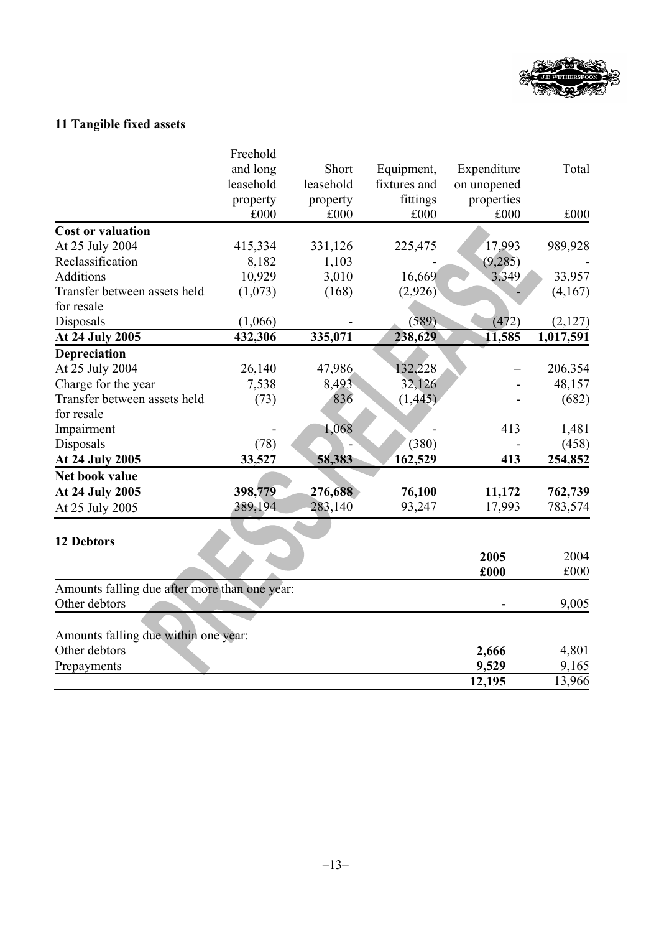

# **11 Tangible fixed assets**

|                                               | Freehold  |           |              |             |           |
|-----------------------------------------------|-----------|-----------|--------------|-------------|-----------|
|                                               | and long  | Short     | Equipment,   | Expenditure | Total     |
|                                               | leasehold | leasehold | fixtures and | on unopened |           |
|                                               | property  | property  | fittings     | properties  |           |
|                                               | £000      | £000      | £000         | £000        | £000      |
| <b>Cost or valuation</b>                      |           |           |              |             |           |
| At 25 July 2004                               | 415,334   | 331,126   | 225,475      | 17,993      | 989,928   |
| Reclassification                              | 8,182     | 1,103     |              | (9, 285)    |           |
| Additions                                     | 10,929    | 3,010     | 16,669       | 3,349       | 33,957    |
| Transfer between assets held                  | (1,073)   | (168)     | (2,926)      |             | (4,167)   |
| for resale                                    |           |           |              |             |           |
| Disposals                                     | (1,066)   |           | (589)        | (472)       | (2,127)   |
| <b>At 24 July 2005</b>                        | 432,306   | 335,071   | 238,629      | 11,585      | 1,017,591 |
| Depreciation                                  |           |           |              |             |           |
| At 25 July 2004                               | 26,140    | 47,986    | 132,228      |             | 206,354   |
| Charge for the year                           | 7,538     | 8,493     | 32,126       |             | 48,157    |
| Transfer between assets held                  | (73)      | 836       | (1, 445)     |             | (682)     |
| for resale                                    |           |           |              |             |           |
| Impairment                                    |           | 1,068     |              | 413         | 1,481     |
| Disposals                                     | (78)      |           | (380)        |             | (458)     |
| At 24 July 2005                               | 33,527    | 58,383    | 162,529      | 413         | 254,852   |
| Net book value                                |           |           |              |             |           |
| At 24 July 2005                               | 398,779   | 276,688   | 76,100       | 11,172      | 762,739   |
| At 25 July 2005                               | 389,194   | 283,140   | 93,247       | 17,993      | 783,574   |
|                                               |           |           |              |             |           |
| <b>12 Debtors</b>                             |           |           |              |             |           |
|                                               |           |           |              | 2005        | 2004      |
|                                               |           |           |              | £000        | £000      |
| Amounts falling due after more than one year: |           |           |              |             |           |
| Other debtors                                 |           |           |              |             | 9,005     |
|                                               |           |           |              |             |           |
| Amounts falling due within one year:          |           |           |              |             |           |
| Other debtors                                 |           |           |              | 2,666       | 4,801     |
| Prepayments                                   |           |           |              | 9,529       | 9,165     |
|                                               |           |           |              | 12,195      | 13,966    |
|                                               |           |           |              |             |           |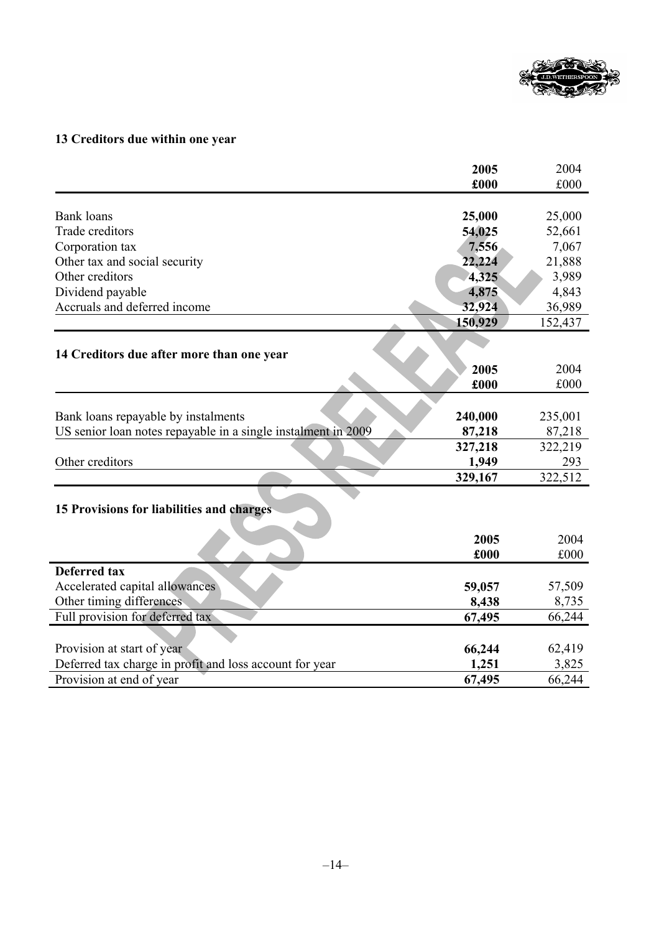

## **13 Creditors due within one year**

|                                                               | 2005    | 2004    |
|---------------------------------------------------------------|---------|---------|
|                                                               | £000    | £000    |
|                                                               |         |         |
| <b>Bank</b> loans                                             | 25,000  | 25,000  |
| Trade creditors                                               | 54,025  | 52,661  |
| Corporation tax                                               | 7,556   | 7,067   |
| Other tax and social security                                 | 22,224  | 21,888  |
| Other creditors                                               | 4,325   | 3,989   |
| Dividend payable                                              | 4,875   | 4,843   |
| Accruals and deferred income                                  | 32,924  | 36,989  |
|                                                               | 150,929 | 152,437 |
|                                                               |         |         |
| 14 Creditors due after more than one year                     |         |         |
|                                                               | 2005    | 2004    |
|                                                               | £000    | £000    |
|                                                               |         |         |
| Bank loans repayable by instalments                           | 240,000 | 235,001 |
| US senior loan notes repayable in a single instalment in 2009 | 87,218  | 87,218  |
|                                                               | 327,218 | 322,219 |
| Other creditors                                               | 1,949   | 293     |
|                                                               | 329,167 | 322,512 |
|                                                               |         |         |
| 15 Provisions for liabilities and charges                     |         |         |
|                                                               |         |         |
|                                                               | 2005    | 2004    |
|                                                               | £000    | £000    |
| <b>Deferred tax</b>                                           |         |         |
| Accelerated capital allowances                                | 59,057  | 57,509  |
| Other timing differences                                      | 8,438   | 8,735   |
| Full provision for deferred tax                               | 67,495  | 66,244  |
|                                                               |         |         |
| Provision at start of year                                    | 66,244  | 62,419  |
| Deferred tax charge in profit and loss account for year       | 1,251   | 3,825   |
| Provision at end of year                                      | 67,495  | 66,244  |